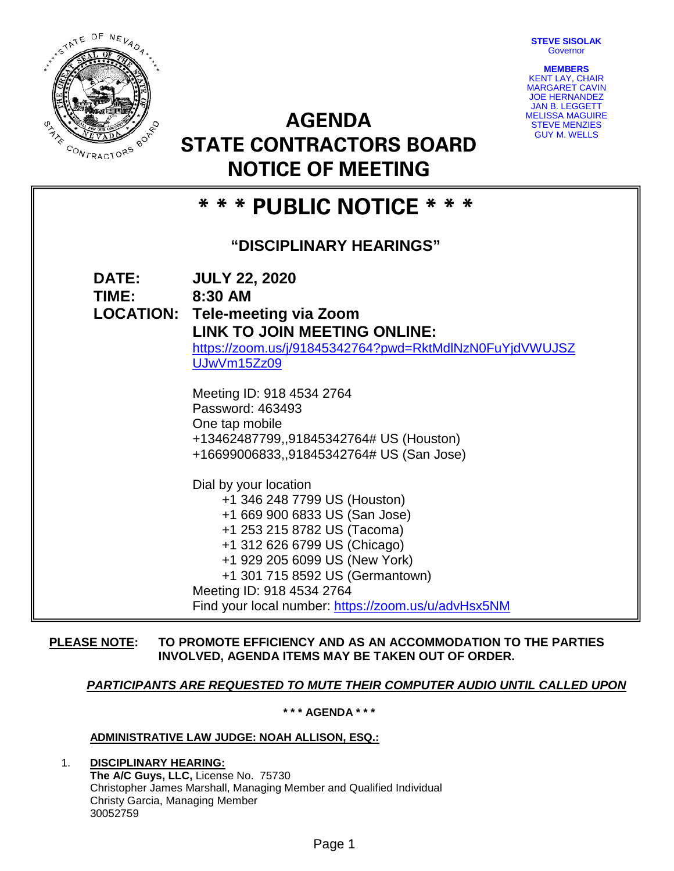**STEVE SISOLAK Governor** 

**MEMBERS** KENT LAY, CHAIR MARGARET CAVIN JOE HERNANDEZ JAN B. LEGGETT MELISSA MAGUIRE STEVE MENZIES GUY M. WELLS



**AGENDA STATE CONTRACTORS BOARD NOTICE OF MEETING**

|                           | INU I IUE UF IVIEE I IINU                                                                                                                                                                                                                                                                                     |
|---------------------------|---------------------------------------------------------------------------------------------------------------------------------------------------------------------------------------------------------------------------------------------------------------------------------------------------------------|
| * * * PUBLIC NOTICE * * * |                                                                                                                                                                                                                                                                                                               |
| "DISCIPLINARY HEARINGS"   |                                                                                                                                                                                                                                                                                                               |
| <b>DATE:</b><br>TIME:     | <b>JULY 22, 2020</b><br>8:30 AM<br><b>LOCATION: Tele-meeting via Zoom</b><br><b>LINK TO JOIN MEETING ONLINE:</b><br>https://zoom.us/j/91845342764?pwd=RktMdINzN0FuYjdVWUJSZ<br>UJwVm15Zz09                                                                                                                    |
|                           | Meeting ID: 918 4534 2764<br>Password: 463493<br>One tap mobile<br>+13462487799,,91845342764# US (Houston)<br>+16699006833,,91845342764# US (San Jose)                                                                                                                                                        |
|                           | Dial by your location<br>+1 346 248 7799 US (Houston)<br>+1 669 900 6833 US (San Jose)<br>+1 253 215 8782 US (Tacoma)<br>+1 312 626 6799 US (Chicago)<br>+1 929 205 6099 US (New York)<br>+1 301 715 8592 US (Germantown)<br>Meeting ID: 918 4534 2764<br>Find your local number: https://zoom.us/u/advHsx5NM |

## **PLEASE NOTE: TO PROMOTE EFFICIENCY AND AS AN ACCOMMODATION TO THE PARTIES INVOLVED, AGENDA ITEMS MAY BE TAKEN OUT OF ORDER.**

# *PARTICIPANTS ARE REQUESTED TO MUTE THEIR COMPUTER AUDIO UNTIL CALLED UPON*

**\* \* \* AGENDA \* \* \***

## **ADMINISTRATIVE LAW JUDGE: NOAH ALLISON, ESQ.:**

1. **DISCIPLINARY HEARING: The A/C Guys, LLC,** License No. 75730 Christopher James Marshall, Managing Member and Qualified Individual Christy Garcia, Managing Member 30052759